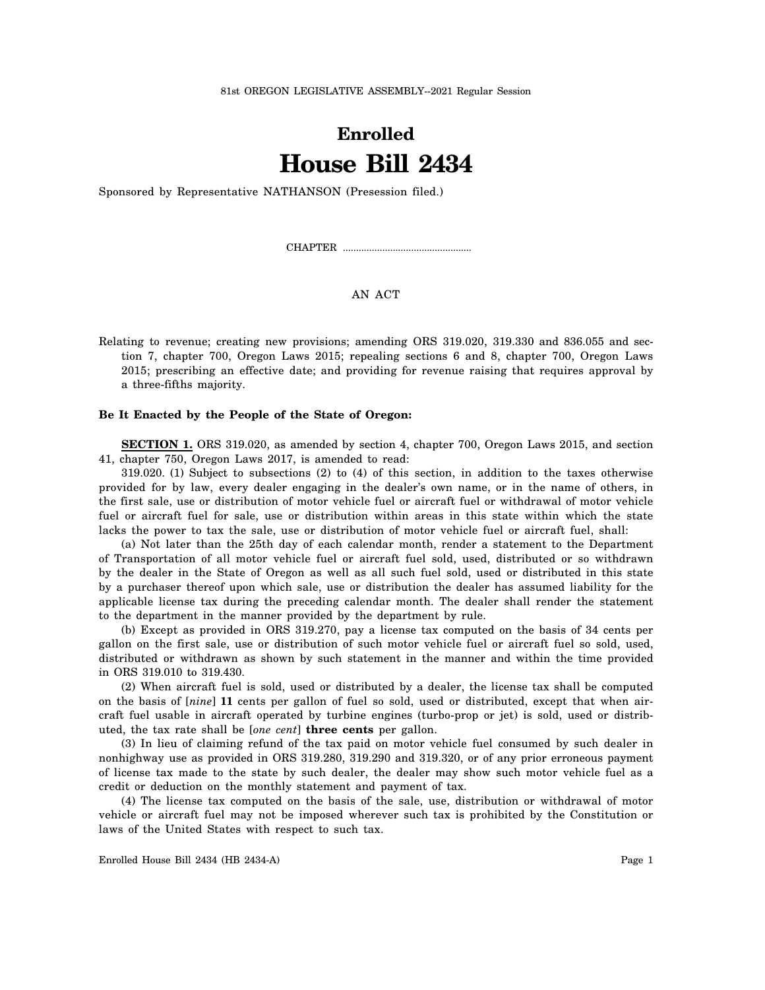81st OREGON LEGISLATIVE ASSEMBLY--2021 Regular Session

## **Enrolled House Bill 2434**

Sponsored by Representative NATHANSON (Presession filed.)

CHAPTER .................................................

## AN ACT

Relating to revenue; creating new provisions; amending ORS 319.020, 319.330 and 836.055 and section 7, chapter 700, Oregon Laws 2015; repealing sections 6 and 8, chapter 700, Oregon Laws 2015; prescribing an effective date; and providing for revenue raising that requires approval by a three-fifths majority.

## **Be It Enacted by the People of the State of Oregon:**

**SECTION 1.** ORS 319.020, as amended by section 4, chapter 700, Oregon Laws 2015, and section 41, chapter 750, Oregon Laws 2017, is amended to read:

319.020. (1) Subject to subsections (2) to (4) of this section, in addition to the taxes otherwise provided for by law, every dealer engaging in the dealer's own name, or in the name of others, in the first sale, use or distribution of motor vehicle fuel or aircraft fuel or withdrawal of motor vehicle fuel or aircraft fuel for sale, use or distribution within areas in this state within which the state lacks the power to tax the sale, use or distribution of motor vehicle fuel or aircraft fuel, shall:

(a) Not later than the 25th day of each calendar month, render a statement to the Department of Transportation of all motor vehicle fuel or aircraft fuel sold, used, distributed or so withdrawn by the dealer in the State of Oregon as well as all such fuel sold, used or distributed in this state by a purchaser thereof upon which sale, use or distribution the dealer has assumed liability for the applicable license tax during the preceding calendar month. The dealer shall render the statement to the department in the manner provided by the department by rule.

(b) Except as provided in ORS 319.270, pay a license tax computed on the basis of 34 cents per gallon on the first sale, use or distribution of such motor vehicle fuel or aircraft fuel so sold, used, distributed or withdrawn as shown by such statement in the manner and within the time provided in ORS 319.010 to 319.430.

(2) When aircraft fuel is sold, used or distributed by a dealer, the license tax shall be computed on the basis of [*nine*] **11** cents per gallon of fuel so sold, used or distributed, except that when aircraft fuel usable in aircraft operated by turbine engines (turbo-prop or jet) is sold, used or distributed, the tax rate shall be [*one cent*] **three cents** per gallon.

(3) In lieu of claiming refund of the tax paid on motor vehicle fuel consumed by such dealer in nonhighway use as provided in ORS 319.280, 319.290 and 319.320, or of any prior erroneous payment of license tax made to the state by such dealer, the dealer may show such motor vehicle fuel as a credit or deduction on the monthly statement and payment of tax.

(4) The license tax computed on the basis of the sale, use, distribution or withdrawal of motor vehicle or aircraft fuel may not be imposed wherever such tax is prohibited by the Constitution or laws of the United States with respect to such tax.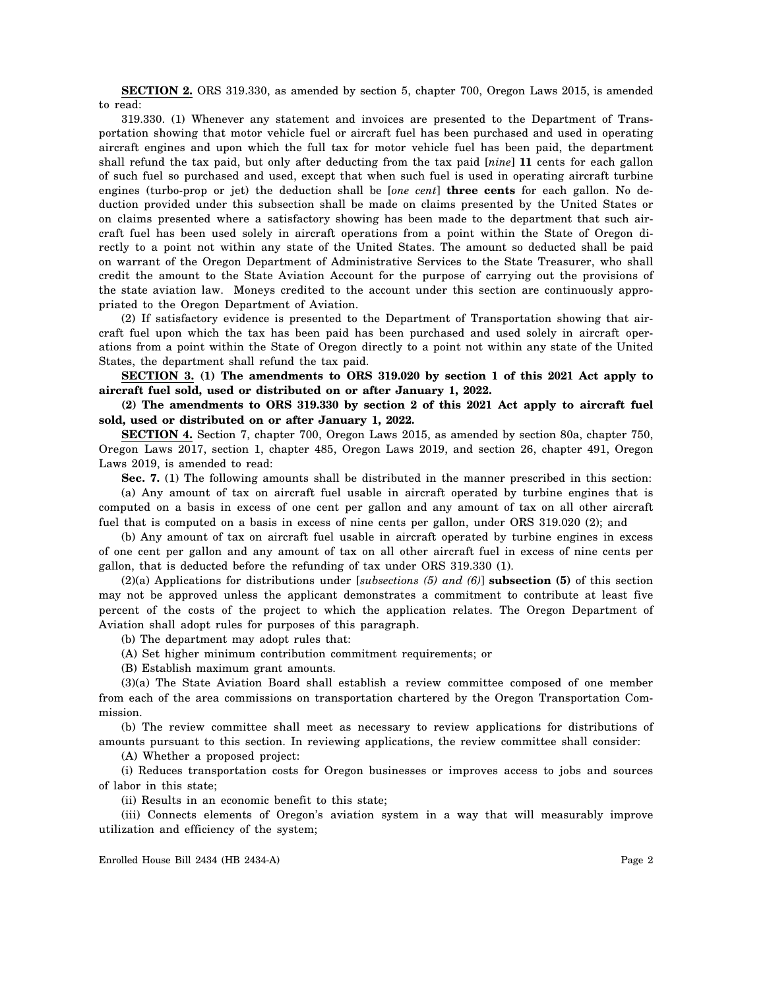**SECTION 2.** ORS 319.330, as amended by section 5, chapter 700, Oregon Laws 2015, is amended to read:

319.330. (1) Whenever any statement and invoices are presented to the Department of Transportation showing that motor vehicle fuel or aircraft fuel has been purchased and used in operating aircraft engines and upon which the full tax for motor vehicle fuel has been paid, the department shall refund the tax paid, but only after deducting from the tax paid [*nine*] **11** cents for each gallon of such fuel so purchased and used, except that when such fuel is used in operating aircraft turbine engines (turbo-prop or jet) the deduction shall be [*one cent*] **three cents** for each gallon. No deduction provided under this subsection shall be made on claims presented by the United States or on claims presented where a satisfactory showing has been made to the department that such aircraft fuel has been used solely in aircraft operations from a point within the State of Oregon directly to a point not within any state of the United States. The amount so deducted shall be paid on warrant of the Oregon Department of Administrative Services to the State Treasurer, who shall credit the amount to the State Aviation Account for the purpose of carrying out the provisions of the state aviation law. Moneys credited to the account under this section are continuously appropriated to the Oregon Department of Aviation.

(2) If satisfactory evidence is presented to the Department of Transportation showing that aircraft fuel upon which the tax has been paid has been purchased and used solely in aircraft operations from a point within the State of Oregon directly to a point not within any state of the United States, the department shall refund the tax paid.

**SECTION 3. (1) The amendments to ORS 319.020 by section 1 of this 2021 Act apply to aircraft fuel sold, used or distributed on or after January 1, 2022.**

**(2) The amendments to ORS 319.330 by section 2 of this 2021 Act apply to aircraft fuel sold, used or distributed on or after January 1, 2022.**

**SECTION 4.** Section 7, chapter 700, Oregon Laws 2015, as amended by section 80a, chapter 750, Oregon Laws 2017, section 1, chapter 485, Oregon Laws 2019, and section 26, chapter 491, Oregon Laws 2019, is amended to read:

**Sec. 7.** (1) The following amounts shall be distributed in the manner prescribed in this section:

(a) Any amount of tax on aircraft fuel usable in aircraft operated by turbine engines that is computed on a basis in excess of one cent per gallon and any amount of tax on all other aircraft fuel that is computed on a basis in excess of nine cents per gallon, under ORS 319.020 (2); and

(b) Any amount of tax on aircraft fuel usable in aircraft operated by turbine engines in excess of one cent per gallon and any amount of tax on all other aircraft fuel in excess of nine cents per gallon, that is deducted before the refunding of tax under ORS 319.330 (1).

(2)(a) Applications for distributions under [*subsections (5) and (6)*] **subsection (5)** of this section may not be approved unless the applicant demonstrates a commitment to contribute at least five percent of the costs of the project to which the application relates. The Oregon Department of Aviation shall adopt rules for purposes of this paragraph.

(b) The department may adopt rules that:

(A) Set higher minimum contribution commitment requirements; or

(B) Establish maximum grant amounts.

(3)(a) The State Aviation Board shall establish a review committee composed of one member from each of the area commissions on transportation chartered by the Oregon Transportation Commission.

(b) The review committee shall meet as necessary to review applications for distributions of amounts pursuant to this section. In reviewing applications, the review committee shall consider:

(A) Whether a proposed project:

(i) Reduces transportation costs for Oregon businesses or improves access to jobs and sources of labor in this state;

(ii) Results in an economic benefit to this state;

(iii) Connects elements of Oregon's aviation system in a way that will measurably improve utilization and efficiency of the system;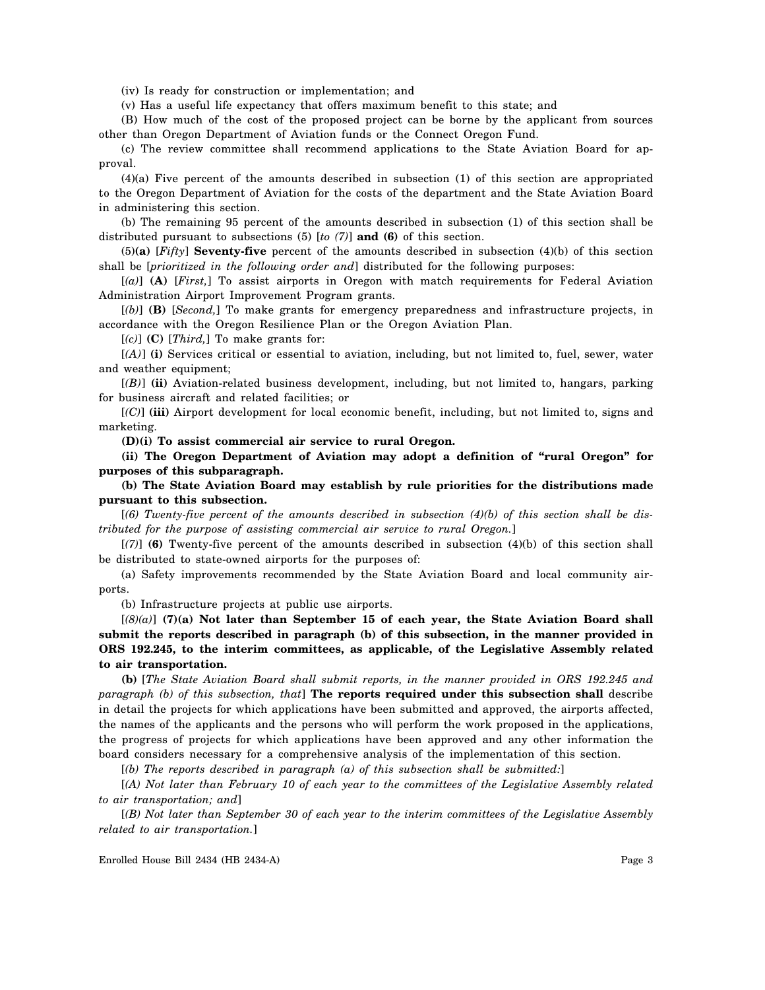(iv) Is ready for construction or implementation; and

(v) Has a useful life expectancy that offers maximum benefit to this state; and

(B) How much of the cost of the proposed project can be borne by the applicant from sources other than Oregon Department of Aviation funds or the Connect Oregon Fund.

(c) The review committee shall recommend applications to the State Aviation Board for approval.

(4)(a) Five percent of the amounts described in subsection (1) of this section are appropriated to the Oregon Department of Aviation for the costs of the department and the State Aviation Board in administering this section.

(b) The remaining 95 percent of the amounts described in subsection (1) of this section shall be distributed pursuant to subsections (5) [*to (7)*] **and (6)** of this section.

(5)**(a)** [*Fifty*] **Seventy-five** percent of the amounts described in subsection (4)(b) of this section shall be [*prioritized in the following order and*] distributed for the following purposes:

[*(a)*] **(A)** [*First,*] To assist airports in Oregon with match requirements for Federal Aviation Administration Airport Improvement Program grants.

[*(b)*] **(B)** [*Second,*] To make grants for emergency preparedness and infrastructure projects, in accordance with the Oregon Resilience Plan or the Oregon Aviation Plan.

[*(c)*] **(C)** [*Third,*] To make grants for:

[*(A)*] **(i)** Services critical or essential to aviation, including, but not limited to, fuel, sewer, water and weather equipment;

[*(B)*] **(ii)** Aviation-related business development, including, but not limited to, hangars, parking for business aircraft and related facilities; or

[*(C)*] **(iii)** Airport development for local economic benefit, including, but not limited to, signs and marketing.

**(D)(i) To assist commercial air service to rural Oregon.**

**(ii) The Oregon Department of Aviation may adopt a definition of "rural Oregon" for purposes of this subparagraph.**

**(b) The State Aviation Board may establish by rule priorities for the distributions made pursuant to this subsection.**

[*(6) Twenty-five percent of the amounts described in subsection (4)(b) of this section shall be distributed for the purpose of assisting commercial air service to rural Oregon.*]

[*(7)*] **(6)** Twenty-five percent of the amounts described in subsection (4)(b) of this section shall be distributed to state-owned airports for the purposes of:

(a) Safety improvements recommended by the State Aviation Board and local community airports.

(b) Infrastructure projects at public use airports.

[*(8)(a)*] **(7)(a) Not later than September 15 of each year, the State Aviation Board shall submit the reports described in paragraph (b) of this subsection, in the manner provided in ORS 192.245, to the interim committees, as applicable, of the Legislative Assembly related to air transportation.**

**(b)** [*The State Aviation Board shall submit reports, in the manner provided in ORS 192.245 and paragraph (b) of this subsection, that*] **The reports required under this subsection shall** describe in detail the projects for which applications have been submitted and approved, the airports affected, the names of the applicants and the persons who will perform the work proposed in the applications, the progress of projects for which applications have been approved and any other information the board considers necessary for a comprehensive analysis of the implementation of this section.

[*(b) The reports described in paragraph (a) of this subsection shall be submitted:*]

[*(A) Not later than February 10 of each year to the committees of the Legislative Assembly related to air transportation; and*]

[*(B) Not later than September 30 of each year to the interim committees of the Legislative Assembly related to air transportation.*]